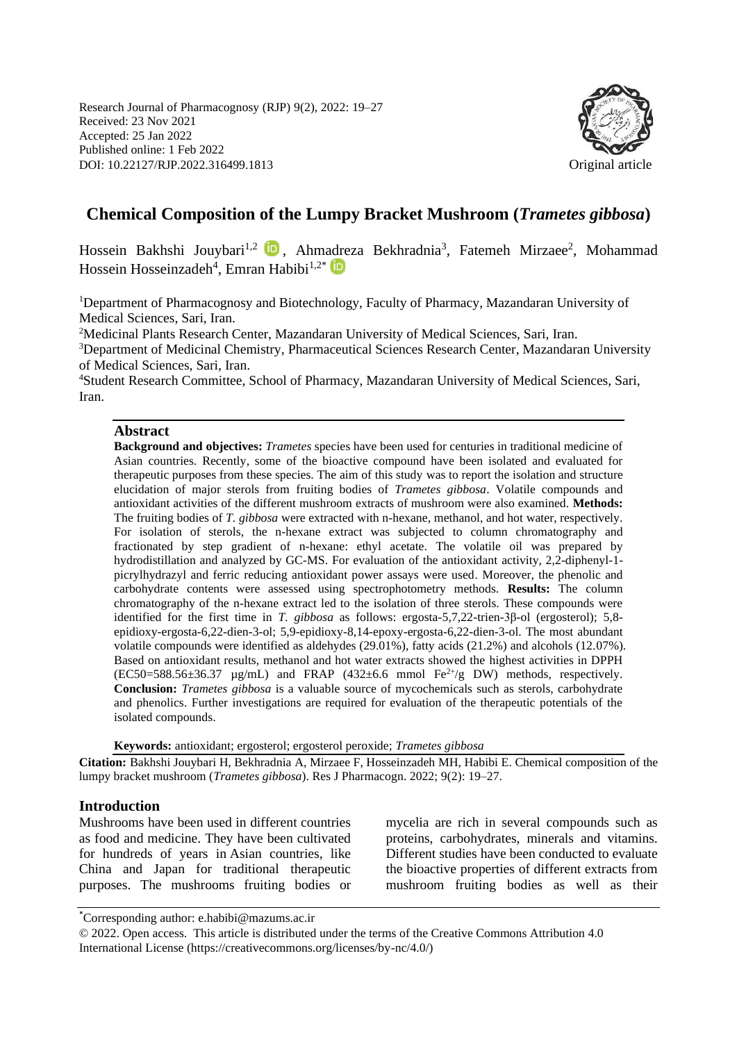Research Journal of Pharmacognosy (RJP) 9(2), 2022: 19–27 Received: 23 Nov 2021 Accepted: 25 Jan 2022 Published online: 1 Feb 2022 DOI: 10.22127/RJP.2022.316499.1813 Original article



# **Chemical Composition of the Lumpy Bracket Mushroom (***Trametes gibbosa***)**

Hossein Bakhshi Jouybari<sup>1,2</sup> D, Ahmadreza Bekhradnia<sup>3</sup>, Fatemeh Mirzaee<sup>2</sup>, Mohammad Hossein Hosseinzadeh<sup>4</sup>, Emran Habibi<sup>1,2\*</sup>

<sup>1</sup>Department of Pharmacognosy and Biotechnology, Faculty of Pharmacy, Mazandaran University of Medical Sciences, Sari, Iran.

<sup>2</sup>Medicinal Plants Research Center, Mazandaran University of Medical Sciences, Sari, Iran. <sup>3</sup>Department of Medicinal Chemistry, Pharmaceutical Sciences Research Center, Mazandaran University of Medical Sciences, Sari, Iran.

<sup>4</sup>Student Research Committee, School of Pharmacy, Mazandaran University of Medical Sciences, Sari, Iran.

#### **Abstract**

**Background and objectives:** *Trametes* species have been used for centuries in traditional medicine of Asian countries. Recently, some of the bioactive compound have been isolated and evaluated for therapeutic purposes from these species. The aim of this study was to report the isolation and structure elucidation of major sterols from fruiting bodies of *Trametes gibbosa*. Volatile compounds and antioxidant activities of the different mushroom extracts of mushroom were also examined. **Methods:**  The fruiting bodies of *T. gibbosa* were extracted with n-hexane, methanol, and hot water, respectively. For isolation of sterols, the n-hexane extract was subjected to column chromatography and fractionated by step gradient of n-hexane: ethyl acetate. The volatile oil was prepared by hydrodistillation and analyzed by GC-MS. For evaluation of the antioxidant activity, 2,2-diphenyl-1 picrylhydrazyl and ferric reducing antioxidant power assays were used. Moreover, the phenolic and carbohydrate contents were assessed using spectrophotometry methods. **Results:** The column chromatography of the n-hexane extract led to the isolation of three sterols. These compounds were identified for the first time in *T. gibbosa* as follows: ergosta-5,7,22-trien-3β-ol (ergosterol); 5,8 epidioxy-ergosta-6,22-dien-3-ol; 5,9-epidioxy-8,14-epoxy-ergosta-6,22-dien-3-ol. The most abundant volatile compounds were identified as aldehydes (29.01%), fatty acids (21.2%) and alcohols (12.07%). Based on antioxidant results, methanol and hot water extracts showed the highest activities in DPPH  $(EC50=588.56\pm36.37 \mu g/mL)$  and FRAP  $(432\pm6.6 \mu mol Fe^{2+}/g DW)$  methods, respectively. **Conclusion:** *Trametes gibbosa* is a valuable source of mycochemicals such as sterols, carbohydrate and phenolics. Further investigations are required for evaluation of the therapeutic potentials of the isolated compounds.

**Keywords:** antioxidant; ergosterol; ergosterol peroxide; *Trametes gibbosa*

**Citation:** Bakhshi Jouybari H, Bekhradnia A, Mirzaee F, Hosseinzadeh MH, Habibi E. Chemical composition of the lumpy bracket mushroom (*Trametes gibbosa*). Res J Pharmacogn. 2022; 9(2): 19–27.

### **Introduction**

Mushrooms have been used in different countries as food and medicine. They have been cultivated for hundreds of years in Asian countries, like China and Japan for traditional therapeutic purposes. The mushrooms fruiting bodies or mycelia are rich in several compounds such as proteins, carbohydrates, minerals and vitamins. Different studies have been conducted to evaluate the bioactive properties of different extracts from mushroom fruiting bodies as well as their

<sup>\*</sup>Corresponding author: e.habibi@mazums.ac.ir

<sup>© 2022.</sup> Open access. This article is distributed under the terms of the Creative Commons Attribution 4.0 International License (https://creativecommons.org/licenses/by-nc/4.0/)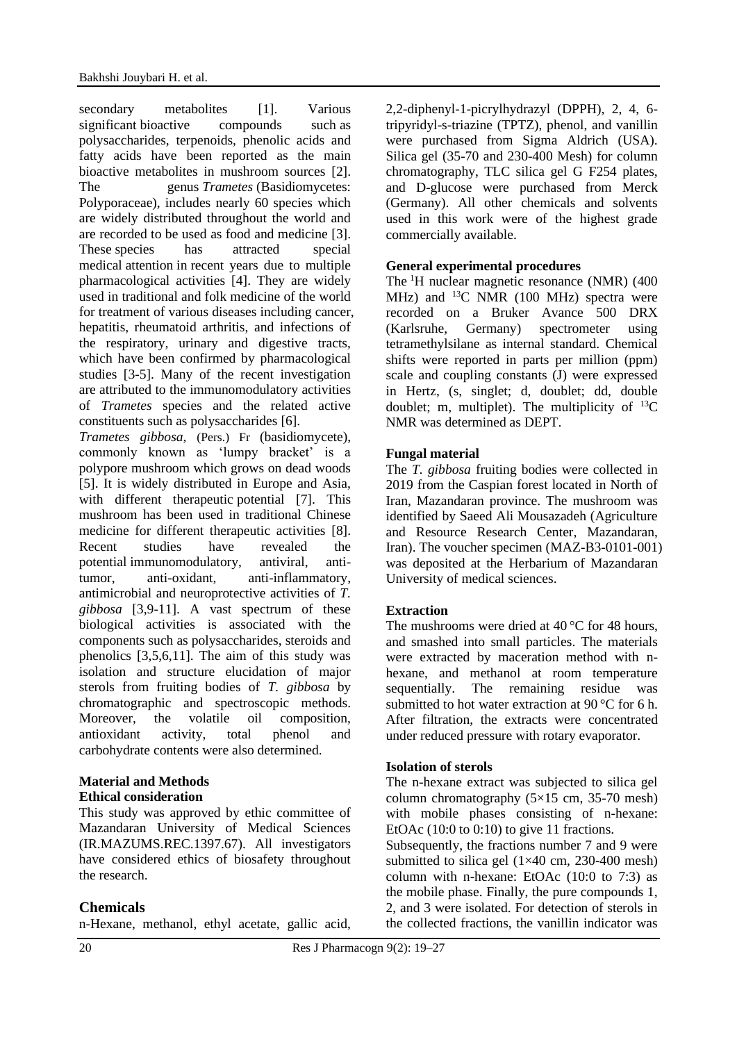secondary metabolites [1]. Various significant bioactive compounds such as polysaccharides, terpenoids, phenolic acids and fatty acids have been reported as the main bioactive metabolites in mushroom sources [2]. The genus *Trametes* (Basidiomycetes: Polyporaceae), includes nearly 60 species which are widely distributed throughout the world and are recorded to be used as food and medicine [3]. These species has attracted special medical attention in recent years due to multiple pharmacological activities [4]. They are widely used in traditional and folk medicine of the world for treatment of various diseases including cancer, hepatitis, rheumatoid arthritis, and infections of the respiratory, urinary and digestive tracts, which have been confirmed by pharmacological studies [3-5]. Many of the recent investigation are attributed to the immunomodulatory activities of *Trametes* species and the related active constituents such as polysaccharides [6].

*Trametes gibbosa*, (Pers.) Fr (basidiomycete), commonly known as 'lumpy bracket' is a polypore mushroom which grows on dead woods [5]. It is widely distributed in Europe and Asia, with different therapeutic potential [7]. This mushroom has been used in traditional Chinese medicine for different therapeutic activities [8]. Recent studies have revealed the potential immunomodulatory, antiviral, antitumor, anti-oxidant, anti-inflammatory, antimicrobial and neuroprotective activities of *T. gibbosa* [3,9-11]. A vast spectrum of these biological activities is associated with the components such as polysaccharides, steroids and phenolics [3,5,6,11]. The aim of this study was isolation and structure elucidation of major sterols from fruiting bodies of *T. gibbosa* by chromatographic and spectroscopic methods. Moreover, the volatile oil composition, antioxidant activity, total phenol and carbohydrate contents were also determined.

#### **Material and Methods Ethical consideration**

This study was approved by ethic committee of Mazandaran University of Medical Sciences (IR.MAZUMS.REC.1397.67). All investigators have considered ethics of biosafety throughout the research.

# **Chemicals**

n-Hexane, methanol, ethyl acetate, gallic acid,

2,2-diphenyl-1-picrylhydrazyl (DPPH), 2, 4, 6 tripyridyl-s-triazine (TPTZ), phenol, and vanillin were purchased from Sigma Aldrich (USA). Silica gel (35-70 and 230-400 Mesh) for column chromatography, TLC silica gel G F254 plates, and D-glucose were purchased from Merck (Germany). All other chemicals and solvents used in this work were of the highest grade commercially available.

### **General experimental procedures**

The <sup>1</sup>H nuclear magnetic resonance (NMR) (400 MHz) and  $^{13}$ C NMR (100 MHz) spectra were recorded on a Bruker Avance 500 DRX (Karlsruhe, Germany) spectrometer using tetramethylsilane as internal standard. Chemical shifts were reported in parts per million (ppm) scale and coupling constants (J) were expressed in Hertz, (s, singlet; d, doublet; dd, double doublet; m, multiplet). The multiplicity of  $^{13}C$ NMR was determined as DEPT.

### **Fungal material**

The *T. gibbosa* fruiting bodies were collected in 2019 from the Caspian forest located in North of Iran, Mazandaran province. The mushroom was identified by Saeed Ali Mousazadeh (Agriculture and Resource Research Center, Mazandaran, Iran). The voucher specimen (MAZ-B3-0101-001) was deposited at the Herbarium of Mazandaran University of medical sciences.

# **Extraction**

The mushrooms were dried at  $40^{\circ}$ C for 48 hours, and smashed into small particles. The materials were extracted by maceration method with nhexane, and methanol at room temperature sequentially. The remaining residue was submitted to hot water extraction at 90 °C for 6 h. After filtration, the extracts were concentrated under reduced pressure with rotary evaporator.

### **Isolation of sterols**

The n-hexane extract was subjected to silica gel column chromatography  $(5\times15 \text{ cm}, 35-70 \text{ mesh})$ with mobile phases consisting of n-hexane: EtOAc (10:0 to 0:10) to give 11 fractions.

Subsequently, the fractions number 7 and 9 were submitted to silica gel  $(1\times40 \text{ cm}, 230-400 \text{ mesh})$ column with n-hexane: EtOAc (10:0 to 7:3) as the mobile phase. Finally, the pure compounds 1, 2, and 3 were isolated. For detection of sterols in the collected fractions, the vanillin indicator was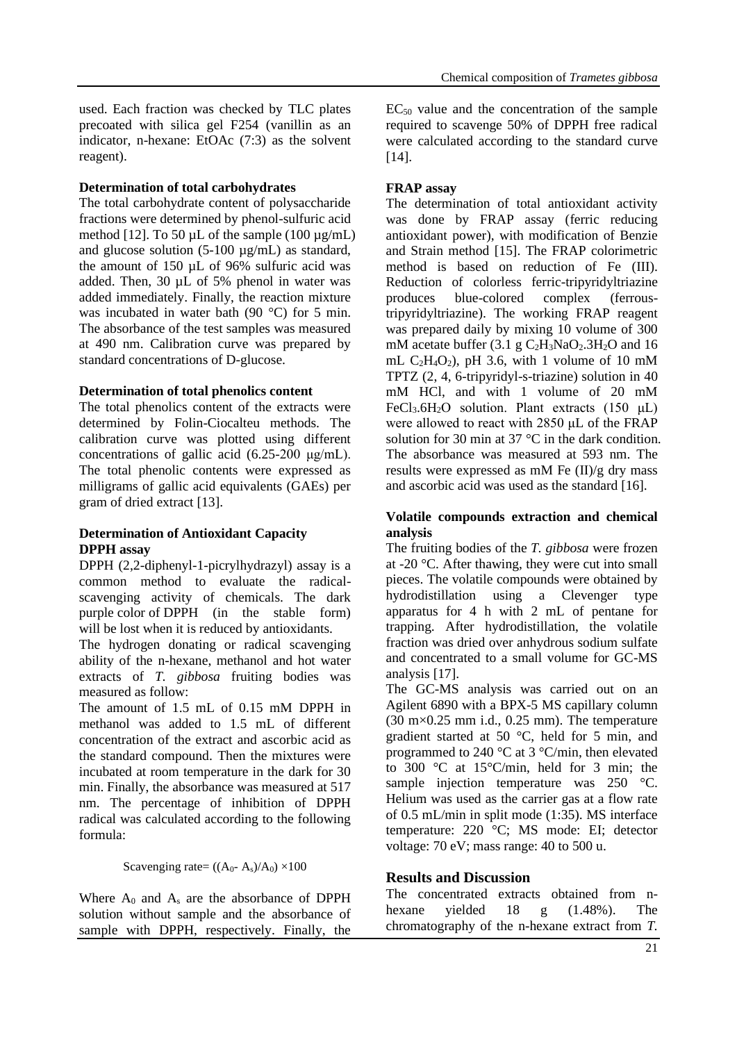used. Each fraction was checked by TLC plates precoated with silica gel F254 (vanillin as an indicator, n-hexane: EtOAc (7:3) as the solvent reagent).

#### **Determination of total carbohydrates**

The total carbohydrate content of polysaccharide fractions were determined by phenol-sulfuric acid method [12]. To 50  $\mu$ L of the sample (100  $\mu$ g/mL) and glucose solution (5-100 µg/mL) as standard, the amount of 150 µL of 96% sulfuric acid was added. Then, 30 µL of 5% phenol in water was added immediately. Finally, the reaction mixture was incubated in water bath (90 °C) for 5 min. The absorbance of the test samples was measured at 490 nm. Calibration curve was prepared by standard concentrations of D-glucose.

#### **Determination of total phenolics content**

The total phenolics content of the extracts were determined by Folin-Ciocalteu methods. The calibration curve was plotted using different concentrations of gallic acid (6.25-200 μg/mL). The total phenolic contents were expressed as milligrams of gallic acid equivalents (GAEs) per gram of dried extract [13].

#### **Determination of Antioxidant Capacity DPPH assay**

DPPH (2,2-diphenyl-1-picrylhydrazyl) assay is a common method to evaluate the radicalscavenging activity of chemicals. The dark purple color of DPPH (in the stable form) will be lost when it is reduced by antioxidants.

The hydrogen donating or radical scavenging ability of the n-hexane, methanol and hot water extracts of *T. gibbosa* fruiting bodies was measured as follow:

The amount of 1.5 mL of 0.15 mM DPPH in methanol was added to 1.5 mL of different concentration of the extract and ascorbic acid as the standard compound. Then the mixtures were incubated at room temperature in the dark for 30 min. Finally, the absorbance was measured at 517 nm. The percentage of inhibition of DPPH radical was calculated according to the following formula:

#### Scavenging rate=  $((A_0 - A_s)/A_0) \times 100$

Where  $A_0$  and  $A_s$  are the absorbance of DPPH solution without sample and the absorbance of sample with DPPH, respectively. Finally, the  $EC_{50}$  value and the concentration of the sample

Chemical composition of *Trametes gibbosa*

required to scavenge 50% of DPPH free radical were calculated according to the standard curve [14].

### **FRAP assay**

The determination of total antioxidant activity was done by FRAP assay (ferric reducing antioxidant power), with modification of Benzie and Strain method [15]. The FRAP colorimetric method is based on reduction of Fe (III). Reduction of colorless ferric-tripyridyltriazine produces blue-colored complex (ferroustripyridyltriazine). The working FRAP reagent was prepared daily by mixing 10 volume of 300 mM acetate buffer  $(3.1 \text{ g } C_2H_3NaO_2.3H_2O$  and 16 mL  $C_2H_4O_2$ ), pH 3.6, with 1 volume of 10 mM TPTZ (2, 4, 6-tripyridyl-s-triazine) solution in 40 mM HCl, and with 1 volume of 20 mM FeCl<sub>3</sub>.6H<sub>2</sub>O solution. Plant extracts  $(150 \mu L)$ were allowed to react with 2850 μL of the FRAP solution for 30 min at 37 °C in the dark condition. The absorbance was measured at 593 nm. The results were expressed as mM Fe (II)/g dry mass and ascorbic acid was used as the standard [16].

### **Volatile compounds extraction and chemical analysis**

The fruiting bodies of the *T. gibbosa* were frozen at -20 °C. After thawing, they were cut into small pieces. The volatile compounds were obtained by hydrodistillation using a Clevenger type apparatus for 4 h with 2 mL of pentane for trapping. After hydrodistillation, the volatile fraction was dried over anhydrous sodium sulfate and concentrated to a small volume for GC-MS analysis [17].

The GC-MS analysis was carried out on an Agilent 6890 with a BPX-5 MS capillary column  $(30 \text{ m} \times 0.25 \text{ mm})$  i.d., 0.25 mm). The temperature gradient started at 50 °C, held for 5 min, and programmed to 240 °C at 3 °C/min, then elevated to 300 °C at 15°C/min, held for 3 min; the sample injection temperature was 250 °C. Helium was used as the carrier gas at a flow rate of 0.5 mL/min in split mode (1:35). MS interface temperature: 220 °C; MS mode: EI; detector voltage: 70 eV; mass range: 40 to 500 u.

### **Results and Discussion**

The concentrated extracts obtained from nhexane yielded 18 g (1.48%). The chromatography of the n-hexane extract from *T.*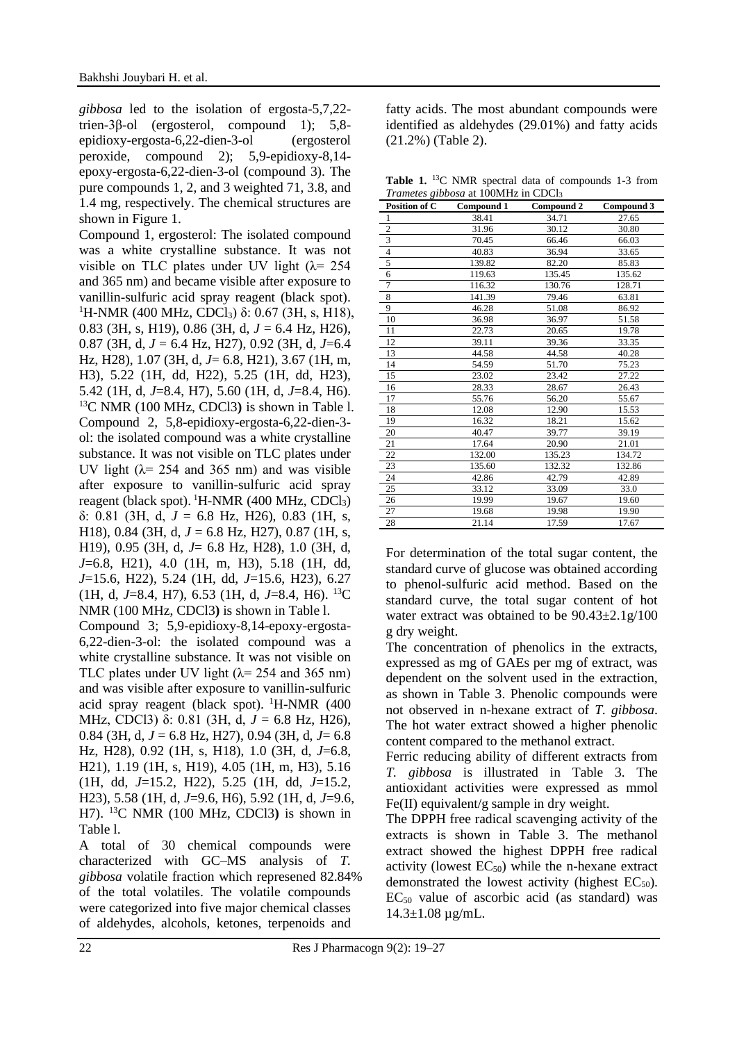*gibbosa* led to the isolation of ergosta-5,7,22 trien-3β-ol (ergosterol, compound 1); 5,8 epidioxy-ergosta-6,22-dien-3-ol (ergosterol peroxide, compound 2); 5,9-epidioxy-8,14 epoxy-ergosta-6,22-dien-3-ol (compound 3). The pure compounds 1, 2, and 3 weighted 71, 3.8, and 1.4 mg, respectively. The chemical structures are shown in Figure 1.

Compound 1, ergosterol: The isolated compound was a white crystalline substance. It was not visible on TLC plates under UV light  $(\lambda = 254)$ and 365 nm) and became visible after exposure to vanillin-sulfuric acid spray reagent (black spot). <sup>1</sup>H-NMR (400 MHz, CDCl<sub>3</sub>) δ: 0.67 (3H, s, H18), 0.83 (3H, s, H19), 0.86 (3H, d, *J* = 6.4 Hz, H26), 0.87 (3H, d, *J* = 6.4 Hz, H27), 0.92 (3H, d, *J*=6.4 Hz, H28), 1.07 (3H, d, *J*= 6.8, H21), 3.67 (1H, m, H3), 5.22 (1H, dd, H22), 5.25 (1H, dd, H23), 5.42 (1H, d, *J*=8.4, H7), 5.60 (1H, d, *J*=8.4, H6). <sup>13</sup>C NMR (100 MHz, CDCl3**)** is shown in Table l. Compound 2, 5,8-epidioxy-ergosta-6,22-dien-3 ol: the isolated compound was a white crystalline substance. It was not visible on TLC plates under UV light ( $\lambda$  = 254 and 365 nm) and was visible after exposure to vanillin-sulfuric acid spray reagent (black spot). <sup>1</sup>H-NMR (400 MHz, CDCl<sub>3</sub>) δ: 0.81 (3H, d, *J* = 6.8 Hz, H26), 0.83 (1H, s, H18), 0.84 (3H, d, *J* = 6.8 Hz, H27), 0.87 (1H, s, H19), 0.95 (3H, d, *J*= 6.8 Hz, H28), 1.0 (3H, d, *J*=6.8, H21), 4.0 (1H, m, H3), 5.18 (1H, dd, *J*=15.6, H22), 5.24 (1H, dd, *J*=15.6, H23), 6.27 (1H, d, *J*=8.4, H7), 6.53 (1H, d, *J*=8.4, H6). <sup>13</sup>C NMR (100 MHz, CDCl3**)** is shown in Table l.

Compound 3; 5,9-epidioxy-8,14-epoxy-ergosta-6,22-dien-3-ol: the isolated compound was a white crystalline substance. It was not visible on TLC plates under UV light  $(\lambda = 254$  and 365 nm) and was visible after exposure to vanillin-sulfuric acid spray reagent (black spot).  $H-MMR$  (400) MHz, CDCl3) δ: 0.81 (3H, d, *J* = 6.8 Hz, H26), 0.84 (3H, d, *J* = 6.8 Hz, H27), 0.94 (3H, d, *J*= 6.8 Hz, H28), 0.92 (1H, s, H18), 1.0 (3H, d, *J*=6.8, H21), 1.19 (1H, s, H19), 4.05 (1H, m, H3), 5.16 (1H, dd, *J*=15.2, H22), 5.25 (1H, dd, *J*=15.2, H23), 5.58 (1H, d, *J*=9.6, H6), 5.92 (1H, d, *J*=9.6, H7). <sup>13</sup>C NMR (100 MHz, CDCl3**)** is shown in Table l.

A total of 30 chemical compounds were characterized with GC–MS analysis of *T. gibbosa* volatile fraction which represened 82.84% of the total volatiles. The volatile compounds were categorized into five major chemical classes of aldehydes, alcohols, ketones, terpenoids and

fatty acids. The most abundant compounds were identified as aldehydes (29.01%) and fatty acids (21.2%) (Table 2).

Table 1. <sup>13</sup>C NMR spectral data of compounds 1-3 from *Trametes gibbosa* at 100MHz in CDCl<sup>3</sup>

| Position of C  | Compound 1 | Compound 2 | Compound 3 |
|----------------|------------|------------|------------|
| 1              | 38.41      | 34.71      | 27.65      |
| $\overline{c}$ | 31.96      | 30.12      | 30.80      |
| 3              | 70.45      | 66.46      | 66.03      |
| $\overline{4}$ | 40.83      | 36.94      | 33.65      |
| 5              | 139.82     | 82.20      | 85.83      |
| 6              | 119.63     | 135.45     | 135.62     |
| 7              | 116.32     | 130.76     | 128.71     |
| 8              | 141.39     | 79.46      | 63.81      |
| 9              | 46.28      | 51.08      | 86.92      |
| 10             | 36.98      | 36.97      | 51.58      |
| 11             | 22.73      | 20.65      | 19.78      |
| 12             | 39.11      | 39.36      | 33.35      |
| 13             | 44.58      | 44.58      | 40.28      |
| 14             | 54.59      | 51.70      | 75.23      |
| 15             | 23.02      | 23.42      | 27.22      |
| 16             | 28.33      | 28.67      | 26.43      |
| 17             | 55.76      | 56.20      | 55.67      |
| 18             | 12.08      | 12.90      | 15.53      |
| 19             | 16.32      | 18.21      | 15.62      |
| 20             | 40.47      | 39.77      | 39.19      |
| 21             | 17.64      | 20.90      | 21.01      |
| 22             | 132.00     | 135.23     | 134.72     |
| 23             | 135.60     | 132.32     | 132.86     |
| 24             | 42.86      | 42.79      | 42.89      |
| 25             | 33.12      | 33.09      | 33.0       |
| 26             | 19.99      | 19.67      | 19.60      |
| 27             | 19.68      | 19.98      | 19.90      |
| 28             | 21.14      | 17.59      | 17.67      |

For determination of the total sugar content, the standard curve of glucose was obtained according to phenol-sulfuric acid method. Based on the standard curve, the total sugar content of hot water extract was obtained to be 90.43±2.1g/100 g dry weight.

The concentration of phenolics in the extracts, expressed as mg of GAEs per mg of extract, was dependent on the solvent used in the extraction, as shown in Table 3. Phenolic compounds were not observed in n-hexane extract of *T. gibbosa*. The hot water extract showed a higher phenolic content compared to the methanol extract.

Ferric reducing ability of different extracts from *T. gibbosa* is illustrated in Table 3. The antioxidant activities were expressed as mmol Fe(II) equivalent/g sample in dry weight.

The DPPH free radical scavenging activity of the extracts is shown in Table 3. The methanol extract showed the highest DPPH free radical activity (lowest  $EC_{50}$ ) while the n-hexane extract demonstrated the lowest activity (highest  $EC_{50}$ ).  $EC_{50}$  value of ascorbic acid (as standard) was  $14.3 \pm 1.08 \,\mu g/mL$ .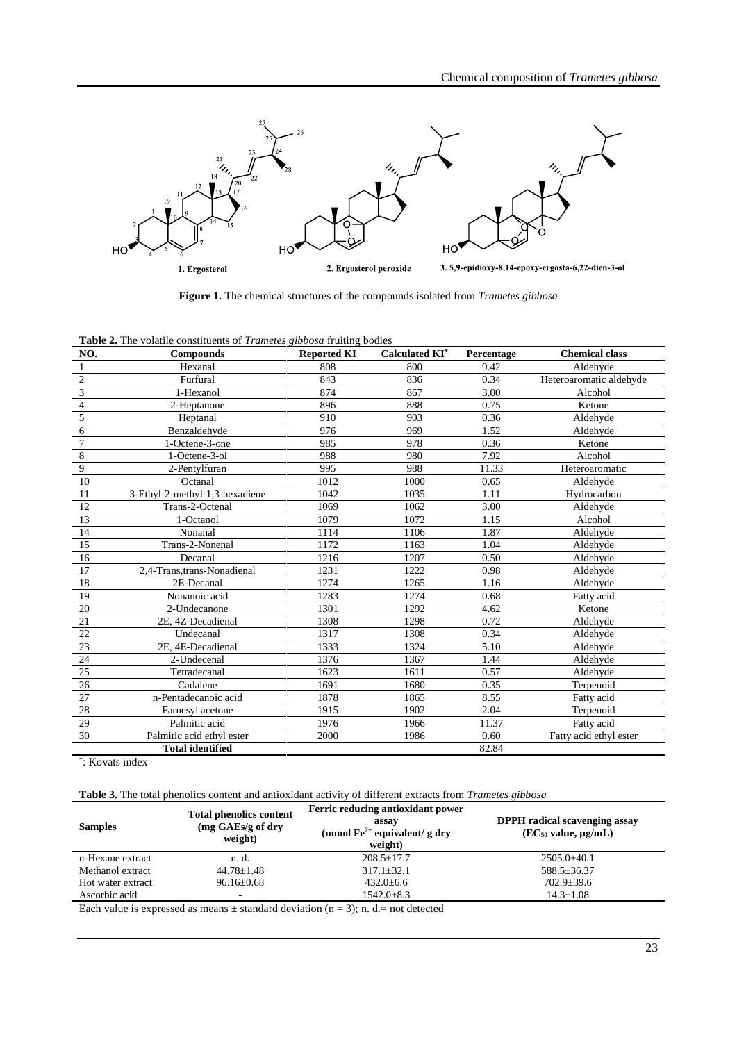

**Figure 1.** The chemical structures of the compounds isolated from *Trametes gibbosa*

| Table 2. The volatile constituents of Trametes gibbosa fruiting bodies |  |  |  |
|------------------------------------------------------------------------|--|--|--|
|                                                                        |  |  |  |

| NO.            | <b>Compounds</b>               | <b>Reported KI</b> | <b>Calculated KI*</b> | Percentage | <b>Chemical class</b>   |
|----------------|--------------------------------|--------------------|-----------------------|------------|-------------------------|
| 1              | Hexanal                        | 808                | 800                   | 9.42       | Aldehyde                |
| $\overline{2}$ | Furfural                       | 843                | 836                   | 0.34       | Heteroaromatic aldehyde |
| $\mathfrak{Z}$ | 1-Hexanol                      | 874                | 867                   | 3.00       | Alcohol                 |
| $\overline{4}$ | 2-Heptanone                    | 896                | 888                   | 0.75       | Ketone                  |
| $\mathfrak s$  | Heptanal                       | 910                | 903                   | 0.36       | Aldehyde                |
| 6              | Benzaldehyde                   | 976                | 969                   | 1.52       | Aldehyde                |
| $\overline{7}$ | 1-Octene-3-one                 | 985                | 978                   | 0.36       | Ketone                  |
| 8              | 1-Octene-3-ol                  | 988                | 980                   | 7.92       | Alcohol                 |
| 9              | 2-Pentylfuran                  | 995                | 988                   | 11.33      | Heteroaromatic          |
| 10             | Octanal                        | 1012               | 1000                  | 0.65       | Aldehyde                |
| 11             | 3-Ethyl-2-methyl-1,3-hexadiene | 1042               | 1035                  | 1.11       | Hydrocarbon             |
| 12             | Trans-2-Octenal                | 1069               | 1062                  | 3.00       | Aldehyde                |
| 13             | 1-Octanol                      | 1079               | 1072                  | 1.15       | Alcohol                 |
| 14             | Nonanal                        | 1114               | 1106                  | 1.87       | Aldehyde                |
| 15             | Trans-2-Nonenal                | 1172               | 1163                  | 1.04       | Aldehyde                |
| 16             | Decanal                        | 1216               | 1207                  | 0.50       | Aldehyde                |
| 17             | 2,4-Trans, trans-Nonadienal    | 1231               | 1222                  | 0.98       | Aldehyde                |
| 18             | 2E-Decanal                     | 1274               | 1265                  | 1.16       | Aldehyde                |
| 19             | Nonanoic acid                  | 1283               | 1274                  | 0.68       | Fatty acid              |
| 20             | 2-Undecanone                   | 1301               | 1292                  | 4.62       | Ketone                  |
| 21             | 2E, 4Z-Decadienal              | 1308               | 1298                  | 0.72       | Aldehyde                |
| 22             | Undecanal                      | 1317               | 1308                  | 0.34       | Aldehyde                |
| 23             | 2E, 4E-Decadienal              | 1333               | 1324                  | 5.10       | Aldehyde                |
| 24             | 2-Undecenal                    | 1376               | 1367                  | 1.44       | Aldehyde                |
| 25             | Tetradecanal                   | 1623               | 1611                  | 0.57       | Aldehyde                |
| 26             | Cadalene                       | 1691               | 1680                  | 0.35       | Terpenoid               |
| 27             | n-Pentadecanoic acid           | 1878               | 1865                  | 8.55       | Fatty acid              |
| 28             | Farnesyl acetone               | 1915               | 1902                  | 2.04       | Terpenoid               |
| 29             | Palmitic acid                  | 1976               | 1966                  | 11.37      | Fatty acid              |
| 30             | Palmitic acid ethyl ester      | 2000               | 1986                  | 0.60       | Fatty acid ethyl ester  |
|                | <b>Total identified</b>        |                    |                       | 82.84      |                         |

\* : Kovats index

| Table 3. The total phenolics content and antioxidant activity of different extracts from Trametes gibbosa |
|-----------------------------------------------------------------------------------------------------------|
|-----------------------------------------------------------------------------------------------------------|

| <b>Samples</b>    | <b>Total phenolics content</b><br>$(mg \, GAEs/g \, of \, dry)$<br>weight) | Ferric reducing antioxidant power<br>assay<br>(mmol $\text{Fe}^{2+}$ equivalent/ g dry<br>weight) | <b>DPPH</b> radical scavenging assay<br>$(EC_{50}$ value, $\mu\Omega$ /mL) |
|-------------------|----------------------------------------------------------------------------|---------------------------------------------------------------------------------------------------|----------------------------------------------------------------------------|
| n-Hexane extract  | n. d.                                                                      | $208.5 + 17.7$                                                                                    | $2505.0 + 40.1$                                                            |
| Methanol extract  | $44.78 \pm 1.48$                                                           | $317.1 + 32.1$                                                                                    | $588.5 \pm 36.37$                                                          |
| Hot water extract | $96.16 \pm 0.68$                                                           | $432.0 + 6.6$                                                                                     | $702.9 + 39.6$                                                             |
| Ascorbic acid     |                                                                            | $1542.0 \pm 8.3$                                                                                  | $14.3 \pm 1.08$                                                            |

Each value is expressed as means  $\pm$  standard deviation (n = 3); n. d.= not detected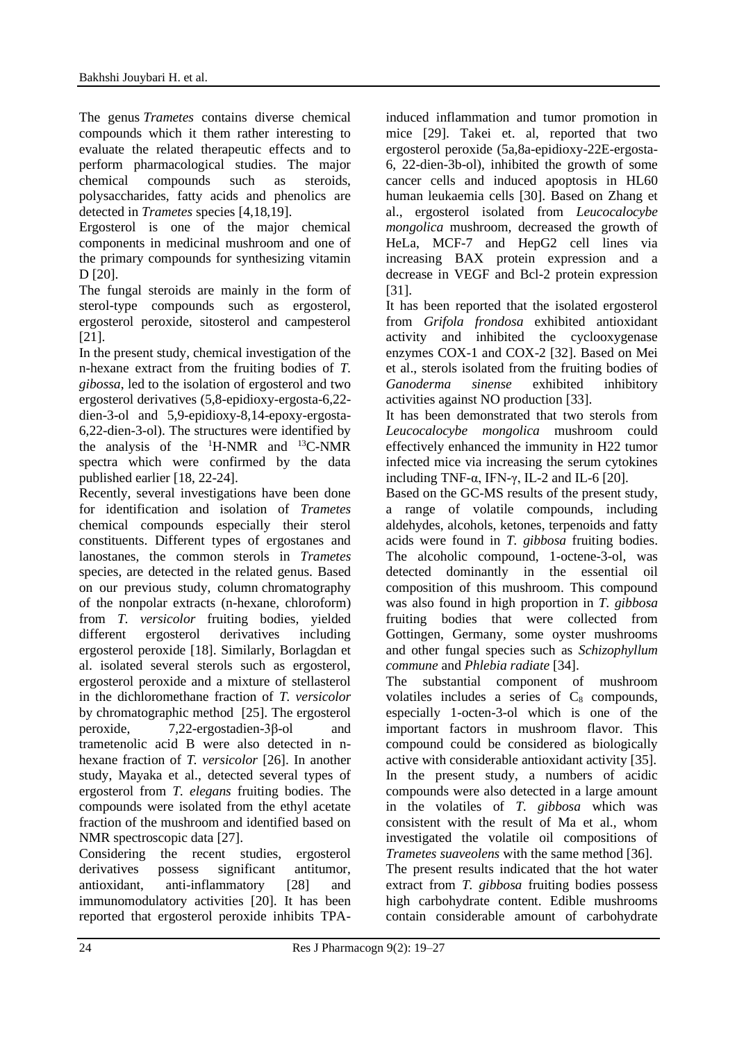The genus *Trametes* contains diverse chemical compounds which it them rather interesting to evaluate the related therapeutic effects and to perform pharmacological studies. The major chemical compounds such as steroids, polysaccharides, fatty acids and phenolics are detected in *Trametes* species [4,18,19].

Ergosterol is one of the major chemical components in medicinal mushroom and one of the primary compounds for synthesizing vitamin D [20].

The fungal steroids are mainly in the form of sterol-type compounds such as ergosterol, ergosterol peroxide, sitosterol and campesterol [21].

In the present study, chemical investigation of the n-hexane extract from the fruiting bodies of *T. gibossa*, led to the isolation of ergosterol and two ergosterol derivatives (5,8-epidioxy-ergosta-6,22 dien-3-ol and 5,9-epidioxy-8,14-epoxy-ergosta-6,22-dien-3-ol). The structures were identified by the analysis of the  $^1$ H-NMR and  $^{13}$ C-NMR spectra which were confirmed by the data published earlier [18, 22-24].

Recently, several investigations have been done for identification and isolation of *Trametes* chemical compounds especially their sterol constituents. Different types of ergostanes and lanostanes, the common sterols in *Trametes* species, are detected in the related genus. Based on our previous study, column chromatography of the nonpolar extracts (n-hexane, chloroform) from *T. versicolor* fruiting bodies*,* yielded different ergosterol derivatives including ergosterol peroxide [18]. Similarly, Borlagdan et al. isolated several sterols such as ergosterol, ergosterol peroxide and a mixture of stellasterol in the dichloromethane fraction of *T. versicolor* by chromatographic method [25]. The ergosterol peroxide, 7,22-ergostadien-3β-ol and trametenolic acid B were also detected in nhexane fraction of *T. versicolor* [26]. In another study, Mayaka et al., detected several types of ergosterol from *T. elegans* fruiting bodies. The compounds were isolated from the ethyl acetate fraction of the mushroom and identified based on NMR spectroscopic data [27].

Considering the recent studies, ergosterol derivatives possess significant antitumor, antioxidant, anti-inflammatory [28] and immunomodulatory activities [20]. It has been reported that ergosterol peroxide inhibits TPA- induced inflammation and tumor promotion in mice [29]. Takei et. al, reported that two ergosterol peroxide (5a,8a-epidioxy-22E-ergosta-6, 22-dien-3b-ol), inhibited the growth of some cancer cells and induced apoptosis in HL60 human leukaemia cells [30]. Based on Zhang et al., ergosterol isolated from *Leucocalocybe mongolica* mushroom*,* decreased the growth of HeLa, MCF-7 and HepG2 cell lines via increasing BAX protein expression and a decrease in VEGF and Bcl-2 protein expression [31].

It has been reported that the isolated ergosterol from *Grifola frondosa* exhibited antioxidant activity and inhibited the cyclooxygenase enzymes COX-1 and COX-2 [32]. Based on Mei et al., sterols isolated from the fruiting bodies of *Ganoderma sinense* exhibited inhibitory activities against NO production [33].

It has been demonstrated that two sterols from *Leucocalocybe mongolica* mushroom could effectively enhanced the immunity in H22 tumor infected mice via increasing the serum cytokines including TNF- $\alpha$ , IFN- $\gamma$ , IL-2 and IL-6 [20].

Based on the GC-MS results of the present study, a range of volatile compounds, including aldehydes, alcohols, ketones, terpenoids and fatty acids were found in *T. gibbosa* fruiting bodies. The alcoholic compound, 1-octene-3-ol, was detected dominantly in the essential oil composition of this mushroom. This compound was also found in high proportion in *T. gibbosa* fruiting bodies that were collected from Gottingen, Germany, some oyster mushrooms and other fungal species such as *Schizophyllum commune* and *Phlebia radiate* [34].

The substantial component of mushroom volatiles includes a series of  $C_8$  compounds, especially 1-octen-3-ol which is one of the important factors in mushroom flavor. This compound could be considered as biologically active with considerable antioxidant activity [35]. In the present study, a numbers of acidic compounds were also detected in a large amount in the volatiles of *T. gibbosa* which was consistent with the result of Ma et al., whom investigated the volatile oil compositions of *Trametes suaveolens* with the same method [36]. The present results indicated that the hot water extract from *T. gibbosa* fruiting bodies possess high carbohydrate content. Edible mushrooms contain considerable amount of carbohydrate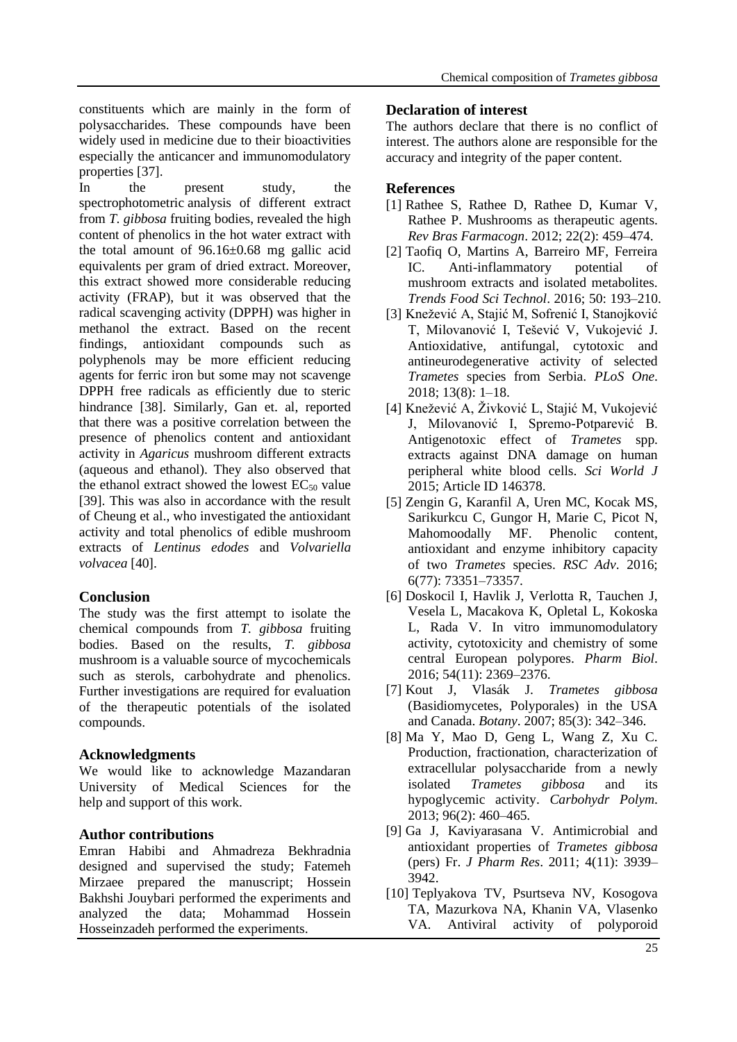constituents which are mainly in the form of polysaccharides. These compounds have been widely used in medicine due to their bioactivities especially the anticancer and immunomodulatory properties [37].

In the present study, the spectrophotometric analysis of different extract from *T. gibbosa* fruiting bodies, revealed the high content of phenolics in the hot water extract with the total amount of 96.16±0.68 mg gallic acid equivalents per gram of dried extract. Moreover, this extract showed more considerable reducing activity (FRAP), but it was observed that the radical scavenging activity (DPPH) was higher in methanol the extract. Based on the recent findings, antioxidant compounds such as polyphenols may be more efficient reducing agents for ferric iron but some may not scavenge DPPH free radicals as efficiently due to steric hindrance [38]. Similarly, Gan et. al, reported that there was a positive correlation between the presence of phenolics content and antioxidant activity in *Agaricus* mushroom different extracts (aqueous and ethanol). They also observed that the ethanol extract showed the lowest  $EC_{50}$  value [39]. This was also in accordance with the result of Cheung et al., who investigated the antioxidant activity and total phenolics of edible mushroom extracts of *Lentinus edodes* and *Volvariella volvacea* [40].

# **Conclusion**

The study was the first attempt to isolate the chemical compounds from *T. gibbosa* fruiting bodies. Based on the results, *T. gibbosa* mushroom is a valuable source of mycochemicals such as sterols, carbohydrate and phenolics. Further investigations are required for evaluation of the therapeutic potentials of the isolated compounds.

# **Acknowledgments**

We would like to acknowledge Mazandaran University of Medical Sciences for the help and support of this work.

# **Author contributions**

Emran Habibi and Ahmadreza Bekhradnia designed and supervised the study; Fatemeh Mirzaee prepared the manuscript; Hossein Bakhshi Jouybari performed the experiments and analyzed the data; Mohammad Hossein Hosseinzadeh performed the experiments.

### **Declaration of interest**

The authors declare that there is no conflict of interest. The authors alone are responsible for the accuracy and integrity of the paper content.

### **References**

- [1] Rathee S, Rathee D, Rathee D, Kumar V, Rathee P. Mushrooms as therapeutic agents. *Rev Bras Farmacogn*. 2012; 22(2): 459–474.
- [2] Taofiq O, Martins A, Barreiro MF, Ferreira IC. Anti-inflammatory potential of mushroom extracts and isolated metabolites. *Trends Food Sci Technol*. 2016; 50: 193–210.
- [3] Knežević A, Stajić M, Sofrenić I, Stanojković T, Milovanović I, Tešević V, Vukojević J. Antioxidative, antifungal, cytotoxic and antineurodegenerative activity of selected *Trametes* species from Serbia. *PLoS One*. 2018; 13(8): 1–18.
- [4] Knežević A, Živković L, Stajić M, Vukojević J, Milovanović I, Spremo-Potparević B. Antigenotoxic effect of *Trametes* spp. extracts against DNA damage on human peripheral white blood cells. *Sci World J* 2015; Article ID 146378.
- [5] Zengin G, Karanfil A, Uren MC, Kocak MS, Sarikurkcu C, Gungor H, Marie C, Picot N, Mahomoodally MF. Phenolic content, antioxidant and enzyme inhibitory capacity of two *Trametes* species. *RSC Adv*. 2016; 6(77): 73351–73357.
- [6] Doskocil I, Havlik J, Verlotta R, Tauchen J, Vesela L, Macakova K, Opletal L, Kokoska L, Rada V. In vitro immunomodulatory activity, cytotoxicity and chemistry of some central European polypores. *Pharm Biol*. 2016; 54(11): 2369–2376.
- [7] Kout J, Vlasák J. *Trametes gibbosa* (Basidiomycetes, Polyporales) in the USA and Canada. *Botany*. 2007; 85(3): 342–346.
- [8] Ma Y, Mao D, Geng L, Wang Z, Xu C. Production, fractionation, characterization of extracellular polysaccharide from a newly isolated *Trametes gibbosa* and its hypoglycemic activity. *Carbohydr Polym*. 2013; 96(2): 460–465.
- [9] Ga J, Kaviyarasana V. Antimicrobial and antioxidant properties of *Trametes gibbosa*  (pers) Fr. *J Pharm Res*. 2011; 4(11): 3939– 3942.
- [10] Teplyakova TV, Psurtseva NV, Kosogova TA, Mazurkova NA, Khanin VA, Vlasenko VA. Antiviral activity of polyporoid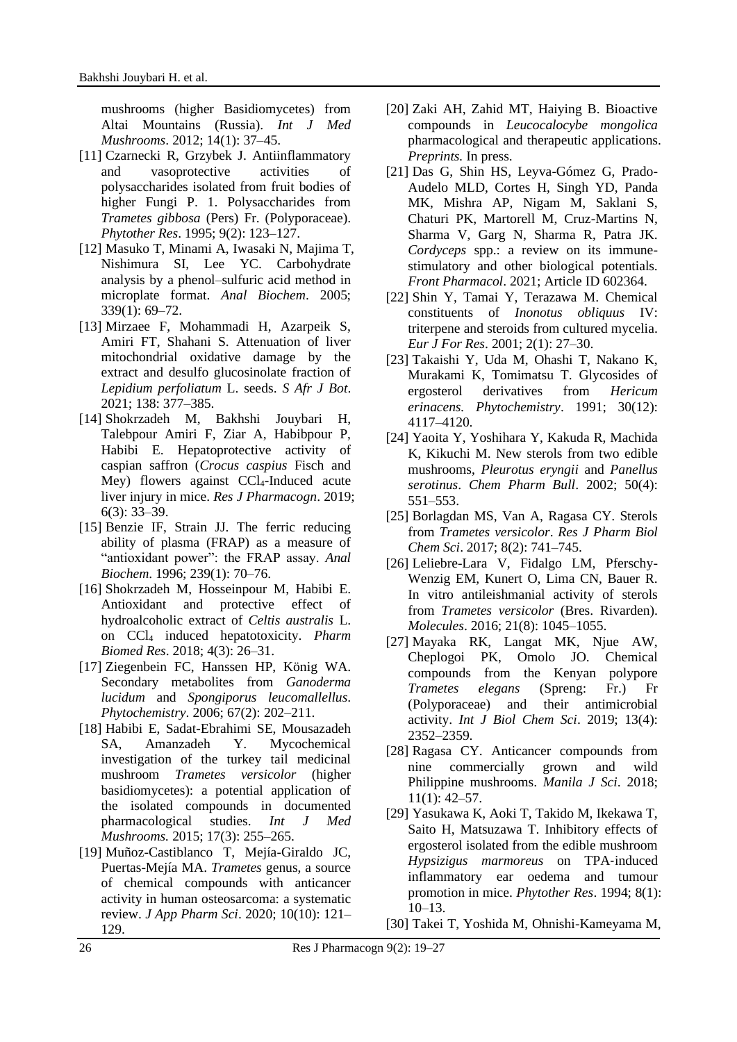mushrooms (higher Basidiomycetes) from Altai Mountains (Russia). *Int J Med Mushrooms*. 2012; 14(1): 37–45.

- [11] Czarnecki R, Grzybek J. Antiinflammatory and vasoprotective activities of polysaccharides isolated from fruit bodies of higher Fungi P. 1. Polysaccharides from *Trametes gibbosa* (Pers) Fr. (Polyporaceae). *Phytother Res*. 1995; 9(2): 123–127.
- [12] Masuko T, Minami A, Iwasaki N, Majima T, Nishimura SI, Lee YC. Carbohydrate analysis by a phenol–sulfuric acid method in microplate format. *Anal Biochem*. 2005; 339(1): 69–72.
- [13] Mirzaee F, Mohammadi H, Azarpeik S, Amiri FT, Shahani S. Attenuation of liver mitochondrial oxidative damage by the extract and desulfo glucosinolate fraction of *Lepidium perfoliatum* L. seeds. *S Afr J Bot*. 2021; 138: 377–385.
- [14] Shokrzadeh M, Bakhshi Jouybari H, Talebpour Amiri F, Ziar A, Habibpour P, Habibi E. Hepatoprotective activity of caspian saffron (*Crocus caspius* Fisch and Mey) flowers against CCl4-Induced acute liver injury in mice. *Res J Pharmacogn*. 2019; 6(3): 33–39.
- [15] Benzie IF, Strain JJ. The ferric reducing ability of plasma (FRAP) as a measure of "antioxidant power": the FRAP assay. *Anal Biochem*. 1996; 239(1): 70–76.
- [16] Shokrzadeh M, Hosseinpour M, Habibi E. Antioxidant and protective effect of hydroalcoholic extract of *Celtis australis* L. on CCl<sup>4</sup> induced hepatotoxicity. *Pharm Biomed Res*. 2018; 4(3): 26–31.
- [17] Ziegenbein FC, Hanssen HP, König WA. Secondary metabolites from *Ganoderma lucidum* and *Spongiporus leucomallellus*. *Phytochemistry*. 2006; 67(2): 202–211.
- [18] Habibi E, Sadat-Ebrahimi SE, Mousazadeh SA, Amanzadeh Y. Mycochemical investigation of the turkey tail medicinal mushroom *Trametes versicolor* (higher basidiomycetes): a potential application of the isolated compounds in documented pharmacological studies. *Int J Med Mushrooms.* 2015; 17(3): 255–265.
- [19] Muñoz-Castiblanco T, Mejía-Giraldo JC, Puertas-Mejía MA. *Trametes* genus, a source of chemical compounds with anticancer activity in human osteosarcoma: a systematic review. *J App Pharm Sci*. 2020; 10(10): 121– 129.
- [20] Zaki AH, Zahid MT, Haiying B. Bioactive compounds in *Leucocalocybe mongolica* pharmacological and therapeutic applications. *Preprints.* In press.
- [21] Das G, Shin HS, Leyva-Gómez G, Prado-Audelo MLD, Cortes H, Singh YD, Panda MK, Mishra AP, Nigam M, Saklani S, Chaturi PK, Martorell M, Cruz-Martins N, Sharma V, Garg N, Sharma R, Patra JK. *Cordyceps* spp.: a review on its immunestimulatory and other biological potentials. *Front Pharmacol*. 2021; Article ID 602364.
- [22] Shin Y, Tamai Y, Terazawa M. Chemical constituents of *Inonotus obliquus* IV: triterpene and steroids from cultured mycelia. *Eur J For Res*. 2001; 2(1): 27–30.
- [23] Takaishi Y, Uda M, Ohashi T, Nakano K, Murakami K, Tomimatsu T. Glycosides of ergosterol derivatives from *Hericum erinacens. Phytochemistry*. 1991; 30(12): 4117–4120.
- [24] Yaoita Y, Yoshihara Y, Kakuda R, Machida K, Kikuchi M. New sterols from two edible mushrooms, *Pleurotus eryngii* and *Panellus serotinus*. *Chem Pharm Bull*. 2002; 50(4): 551–553.
- [25] Borlagdan MS, Van A, Ragasa CY. Sterols from *Trametes versicolor*. *Res J Pharm Biol Chem Sci*. 2017; 8(2): 741–745.
- [26] Leliebre-Lara V, Fidalgo LM, Pferschy-Wenzig EM, Kunert O, Lima CN, Bauer R. In vitro antileishmanial activity of sterols from *Trametes versicolor* (Bres. Rivarden). *Molecules*. 2016; 21(8): 1045–1055.
- [27] Mayaka RK, Langat MK, Njue AW, Cheplogoi PK, Omolo JO. Chemical compounds from the Kenyan polypore *Trametes elegans* (Spreng: Fr.) Fr (Polyporaceae) and their antimicrobial activity. *Int J Biol Chem Sci*. 2019; 13(4): 2352–2359.
- [28] Ragasa CY. Anticancer compounds from nine commercially grown and wild Philippine mushrooms. *Manila J Sci*. 2018; 11(1): 42–57.
- [29] Yasukawa K, Aoki T, Takido M, Ikekawa T, Saito H, Matsuzawa T. Inhibitory effects of ergosterol isolated from the edible mushroom *Hypsizigus marmoreus* on TPA‐induced inflammatory ear oedema and tumour promotion in mice. *Phytother Res*. 1994; 8(1): 10–13.
- [30] Takei T, Yoshida M, Ohnishi-Kameyama M,